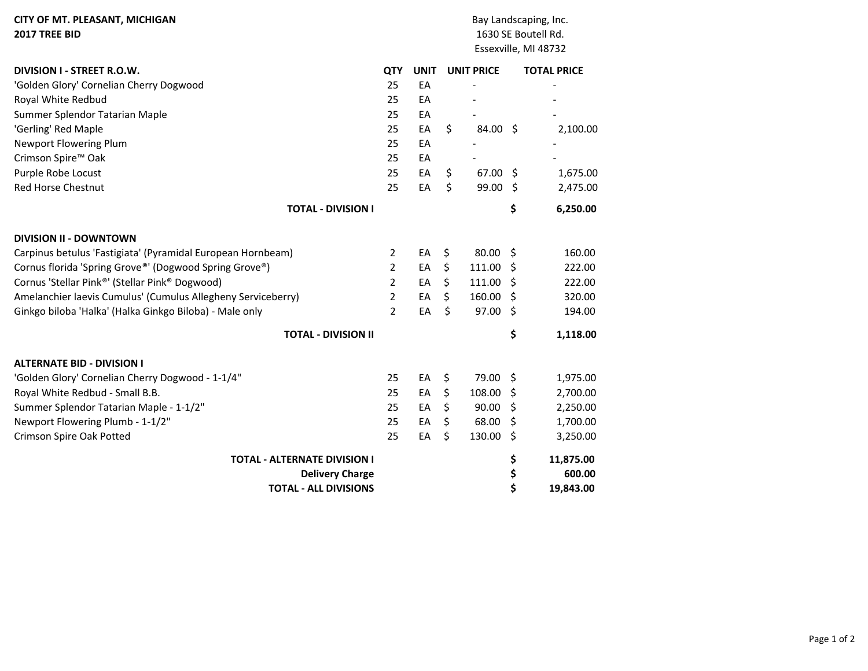| <b>CITY OF MT. PLEASANT, MICHIGAN</b>                        |                |             |    |                   |                      | Bay Landscaping, Inc. |  |  |  |  |
|--------------------------------------------------------------|----------------|-------------|----|-------------------|----------------------|-----------------------|--|--|--|--|
| 2017 TREE BID                                                |                |             |    |                   | 1630 SE Boutell Rd.  |                       |  |  |  |  |
|                                                              |                |             |    |                   | Essexville, MI 48732 |                       |  |  |  |  |
| DIVISION I - STREET R.O.W.                                   | <b>QTY</b>     | <b>UNIT</b> |    | <b>UNIT PRICE</b> |                      | <b>TOTAL PRICE</b>    |  |  |  |  |
| 'Golden Glory' Cornelian Cherry Dogwood                      | 25             | EA          |    |                   |                      |                       |  |  |  |  |
| Royal White Redbud                                           | 25             | EA          |    |                   |                      |                       |  |  |  |  |
| Summer Splendor Tatarian Maple                               | 25             | EA          |    |                   |                      |                       |  |  |  |  |
| 'Gerling' Red Maple                                          | 25             | EA          | \$ | 84.00             | -\$                  | 2,100.00              |  |  |  |  |
| Newport Flowering Plum                                       | 25             | EA          |    |                   |                      |                       |  |  |  |  |
| Crimson Spire <sup>™</sup> Oak                               | 25             | EA          |    |                   |                      |                       |  |  |  |  |
| Purple Robe Locust                                           | 25             | EA          | \$ | 67.00 \$          |                      | 1,675.00              |  |  |  |  |
| <b>Red Horse Chestnut</b>                                    | 25             | EA          | \$ | 99.00             | Ŝ.                   | 2,475.00              |  |  |  |  |
| <b>TOTAL - DIVISION I</b>                                    |                |             |    |                   | \$                   | 6,250.00              |  |  |  |  |
| <b>DIVISION II - DOWNTOWN</b>                                |                |             |    |                   |                      |                       |  |  |  |  |
| Carpinus betulus 'Fastigiata' (Pyramidal European Hornbeam)  | $\overline{2}$ | EA          | \$ | 80.00             | Ŝ.                   | 160.00                |  |  |  |  |
| Cornus florida 'Spring Grove®' (Dogwood Spring Grove®)       | 2              | EA          | \$ | 111.00            | \$                   | 222.00                |  |  |  |  |
| Cornus 'Stellar Pink®' (Stellar Pink® Dogwood)               | $\overline{2}$ | EA          | \$ | 111.00            | S                    | 222.00                |  |  |  |  |
| Amelanchier laevis Cumulus' (Cumulus Allegheny Serviceberry) | $\overline{2}$ | EA          | \$ | 160.00            | \$.                  | 320.00                |  |  |  |  |
| Ginkgo biloba 'Halka' (Halka Ginkgo Biloba) - Male only      | $\overline{2}$ | EA          | \$ | 97.00             | \$                   | 194.00                |  |  |  |  |
| <b>TOTAL - DIVISION II</b>                                   |                |             |    |                   | \$                   | 1,118.00              |  |  |  |  |
| <b>ALTERNATE BID - DIVISION I</b>                            |                |             |    |                   |                      |                       |  |  |  |  |
| 'Golden Glory' Cornelian Cherry Dogwood - 1-1/4"             | 25             | EA          | \$ | 79.00             | \$                   | 1,975.00              |  |  |  |  |
| Royal White Redbud - Small B.B.                              | 25             | EA          | \$ | 108.00            | \$                   | 2,700.00              |  |  |  |  |
| Summer Splendor Tatarian Maple - 1-1/2"                      | 25             | EA          | \$ | 90.00             | \$                   | 2,250.00              |  |  |  |  |
| Newport Flowering Plumb - 1-1/2"                             | 25             | EA          | \$ | 68.00             | \$.                  | 1,700.00              |  |  |  |  |
| Crimson Spire Oak Potted                                     | 25             | EA          | \$ | 130.00            | \$                   | 3,250.00              |  |  |  |  |
| <b>TOTAL - ALTERNATE DIVISION I</b>                          |                |             |    |                   | \$                   | 11,875.00             |  |  |  |  |
| <b>Delivery Charge</b>                                       |                |             |    |                   | \$                   | 600.00                |  |  |  |  |
| <b>TOTAL - ALL DIVISIONS</b>                                 |                |             |    |                   | \$                   | 19,843.00             |  |  |  |  |